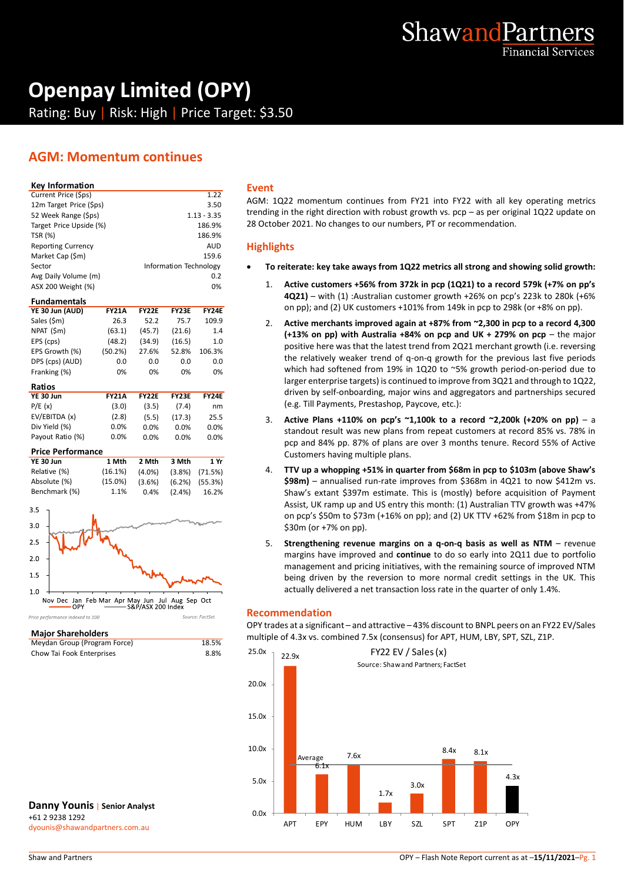

# **Openpay Limited (OPY)**

Rating: Buy | Risk: High | Price Target: \$3.50

# **AGM: Momentum continues**

#### **Key Information**

| А  |
|----|
| tı |
| 2  |
|    |
| ŀ  |
|    |
|    |
|    |
|    |
|    |

#### **Fundamentals**

| YE 30 Jun (AUD) | <b>FY21A</b> | <b>FY22E</b> | <b>FY23E</b> | <b>FY24E</b> |
|-----------------|--------------|--------------|--------------|--------------|
| Sales (\$m)     | 26.3         | 52.2         | 75.7         | 109.9        |
| NPAT (\$m)      | (63.1)       | (45.7)       | (21.6)       | 1.4          |
| EPS (cps)       | (48.2)       | (34.9)       | (16.5)       | 1.0          |
| EPS Growth (%)  | (50.2%)      | 27.6%        | 52.8%        | 106.3%       |
| DPS (cps) (AUD) | 0.0          | 0.0          | 0.0          | 0.0          |
| Franking (%)    | 0%           | 0%           | 0%           | 0%           |
| Ratios          |              |              |              |              |

| nauvs            |              |              |              |              |
|------------------|--------------|--------------|--------------|--------------|
| YE 30 Jun        | <b>FY21A</b> | <b>FY22E</b> | <b>FY23E</b> | <b>FY24E</b> |
| P/E(x)           | (3.0)        | (3.5)        | (7.4)        | nm           |
| EV/EBITDA (x)    | (2.8)        | (5.5)        | (17.3)       | 25.5         |
| Div Yield (%)    | $0.0\%$      | 0.0%         | $0.0\%$      | $0.0\%$      |
| Payout Ratio (%) | $0.0\%$      | $0.0\%$      | $0.0\%$      | $0.0\%$      |
|                  |              |              |              |              |

#### **Price Performance**

| YE 30 Jun     | 1 Mth      | 2 Mth     | 3 Mth     | 1 Yr                 |
|---------------|------------|-----------|-----------|----------------------|
| Relative (%)  | (16.1%)    | (4.0%)    |           | $(3.8\%)$ $(71.5\%)$ |
| Absolute (%)  | $(15.0\%)$ | $(3.6\%)$ |           | $(6.2\%)$ $(55.3\%)$ |
| Benchmark (%) | 1.1%       | 0.4%      | $(2.4\%)$ | 16.2%                |



#### **Major Shareholders**

|                              |       | $m$ undicipie of 4. |
|------------------------------|-------|---------------------|
| Meydan Group (Program Force) | 18.5% |                     |
| Chow Tai Fook Enterprises    | 8.8%  | 25.0x<br>22.9x      |

#### **Danny Younis** | **Senior Analyst** +61 2 9238 1292 dyounis@shawandpartners.com.au

#### **Event**

AGM: 1Q22 momentum continues from FY21 into FY22 with all key operating metrics trending in the right direction with robust growth vs. pcp – as per original 1Q22 update on 28 October 2021. No changes to our numbers, PT or recommendation.

#### **Highlights**

- **To reiterate: key take aways from 1Q22 metrics all strong and showing solid growth:**
	- 1. **Active customers +56% from 372k in pcp (1Q21) to a record 579k (+7% on pp's 4Q21)** – with (1) :Australian customer growth +26% on pcp's 223k to 280k (+6% on pp); and (2) UK customers +101% from 149k in pcp to 298k (or +8% on pp).
	- 2. **Active merchants improved again at +87% from ~2,300 in pcp to a record 4,300 (+13% on pp) with Australia +84% on pcp and UK + 279% on pcp** – the major positive here was that the latest trend from 2Q21 merchant growth (i.e. reversing the relatively weaker trend of q-on-q growth for the previous last five periods which had softened from 19% in 1Q20 to ~5% growth period-on-period due to larger enterprise targets) is continued to improve from 3Q21 and through to 1Q22, driven by self-onboarding, major wins and aggregators and partnerships secured (e.g. Till Payments, Prestashop, Paycove, etc.):
	- 3. **Active Plans +110% on pcp's ~1,100k to a record ~2,200k (+20% on pp)**  a standout result was new plans from repeat customers at record 85% vs. 78% in pcp and 84% pp. 87% of plans are over 3 months tenure. Record 55% of Active Customers having multiple plans.
	- 4. **TTV up a whopping +51% in quarter from \$68m in pcp to \$103m (above Shaw's \$98m)** – annualised run-rate improves from \$368m in 4Q21 to now \$412m vs. Shaw's extant \$397m estimate. This is (mostly) before acquisition of Payment Assist, UK ramp up and US entry this month: (1) Australian TTV growth was +47% on pcp's \$50m to \$73m (+16% on pp); and (2) UK TTV +62% from \$18m in pcp to \$30m (or +7% on pp).
	- 5. **Strengthening revenue margins on a q-on-q basis as well as NTM** revenue margins have improved and **continue** to do so early into 2Q11 due to portfolio management and pricing initiatives, with the remaining source of improved NTM being driven by the reversion to more normal credit settings in the UK. This actually delivered a net transaction loss rate in the quarter of only 1.4%.

#### **Recommendation**

OPY trades at a significant – and attractive – 43% discount to BNPL peers on an FY22 EV/Sales multiple of 4.3x vs. combined 7.5x (consensus) for APT, HUM, LBY, SPT, SZL, Z1P.

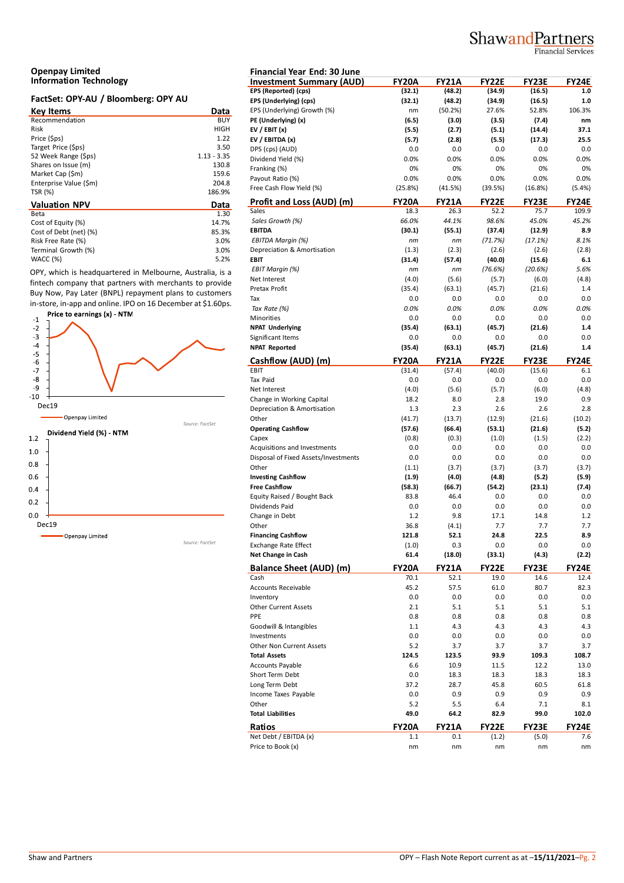# ShawandPartners

**Financial Services** 

#### **Openpay Limited Information Technology**

#### **FactSet: OPY-AU / Bloomberg: OPY AU**

| <b>Key Items</b>       | Data          | EP. |
|------------------------|---------------|-----|
| Recommendation         | <b>BUY</b>    | PE  |
| Risk                   | HIGH          | EV  |
| Price (\$ps)           | 1.22          | EV  |
| Target Price (\$ps)    | 3.50          | DP  |
| 52 Week Range (\$ps)   | $1.13 - 3.35$ | Di  |
| Shares on Issue (m)    | 130.8         | Fra |
| Market Cap (\$m)       | 159.6         | Pa  |
| Enterprise Value (\$m) | 204.8         |     |
| TSR (%)                | 186.9%        | Fre |
| <b>Valuation NPV</b>   | Data          | Pr  |
| Beta                   | 1.30          | Sal |
| Cost of Equity (%)     | 14.7%         | Sc  |
| Cost of Debt (net) (%) | 85.3%         | EВ  |
| Risk Free Rate (%)     | 3.0%          | EE  |
| Terminal Growth (%)    | 3.0%          | De  |
| WACC (%)               | 5.2%          | EВ  |

OPY, which is headquartered in Melbourne, Australia, is a fintech company that partners with merchants to provide Buy Now, Pay Later (BNPL) repayment plans to customers in-store, in-app and online. IPO on 16 December at \$1.60ps.



| <b>Financial Year End: 30 June</b>                |                      |               |                       |                 |                     |
|---------------------------------------------------|----------------------|---------------|-----------------------|-----------------|---------------------|
| <b>Investment Summary (AUD)</b>                   | FY20A                | <b>FY21A</b>  | <b>FY22E</b>          | <b>FY23E</b>    | <b>FY24E</b>        |
| EPS (Reported) (cps)                              | (32.1)               | (48.2)        | (34.9)                | (16.5)          | 1.0                 |
| EPS (Underlying) (cps)                            | (32.1)               | (48.2)        | (34.9)                | (16.5)          | 1.0                 |
| EPS (Underlying) Growth (%)                       | nm                   | (50.2%)       | 27.6%                 | 52.8%           | 106.3%              |
| PE (Underlying) (x)                               | (6.5)                | (3.0)         | (3.5)                 | (7.4)           | nm                  |
| EV / EBIT $(x)$                                   | (5.5)                | (2.7)         | (5.1)                 | (14.4)          | 37.1                |
| EV / EBITDA (x)                                   | (5.7)                | (2.8)         | (5.5)                 | (17.3)          | 25.5                |
| DPS (cps) (AUD)                                   | 0.0                  | 0.0           | 0.0                   | 0.0             | 0.0                 |
| Dividend Yield (%)                                | 0.0%                 | 0.0%          | 0.0%                  | 0.0%            | 0.0%                |
| Franking (%)                                      | 0%                   | 0%            | 0%                    | 0%              | 0%                  |
| Payout Ratio (%)                                  | 0.0%                 | 0.0%          | 0.0%                  | 0.0%            | 0.0%                |
| Free Cash Flow Yield (%)                          | (25.8%)              | (41.5%)       | (39.5%)               | (16.8%)         | (5.4%)              |
| Profit and Loss (AUD) (m)                         | <b>FY20A</b>         | <b>FY21A</b>  | <b>FY22E</b>          | <b>FY23E</b>    | <b>FY24E</b>        |
| Sales                                             | 18.3                 | 26.3          | 52.2                  | 75.7            | 109.9               |
| Sales Growth (%)                                  | 66.0%                | 44.1%         | 98.6%                 | 45.0%           | 45.2%               |
| <b>EBITDA</b>                                     | (30.1)               | (55.1)        | (37.4)                | (12.9)          | 8.9                 |
| EBITDA Margin (%)                                 | nm                   | nm            | (71.7%)               | (17.1%)         | 8.1%                |
| Depreciation & Amortisation                       | (1.3)                | (2.3)         | (2.6)                 | (2.6)           | (2.8)               |
| <b>EBIT</b>                                       | (31.4)               | (57.4)        | (40.0)                | (15.6)          | 6.1                 |
| EBIT Margin (%)                                   | nm                   | nm            | (76.6%)               | (20.6%)         | 5.6%                |
| Net Interest                                      | (4.0)                | (5.6)         | (5.7)                 | (6.0)           | (4.8)               |
| Pretax Profit                                     | (35.4)               | (63.1)        | (45.7)                | (21.6)          | 1.4                 |
| Tax                                               | 0.0                  | 0.0           | 0.0                   | 0.0             | 0.0                 |
| Tax Rate (%)                                      | 0.0%                 | 0.0%          | 0.0%                  | 0.0%            | 0.0%                |
| Minorities                                        | 0.0                  | 0.0           | 0.0                   | 0.0             | 0.0                 |
| <b>NPAT Underlying</b>                            | (35.4)               | (63.1)        | (45.7)                | (21.6)          | 1.4                 |
| Significant Items                                 | 0.0                  | 0.0           | 0.0                   | 0.0             | 0.0                 |
| <b>NPAT Reported</b>                              | (35.4)               | (63.1)        | (45.7)                | (21.6)          | 1.4                 |
| Cashflow (AUD) (m)                                | <b>FY20A</b>         | <b>FY21A</b>  | <b>FY22E</b>          | <b>FY23E</b>    | <b>FY24E</b>        |
| EBIT                                              | (31.4)               | (57.4)        | (40.0)                | (15.6)          | 6.1                 |
| Tax Paid                                          | 0.0                  | 0.0           | 0.0                   | 0.0             | 0.0                 |
| Net Interest                                      | (4.0)                | (5.6)         | (5.7)                 | (6.0)           | (4.8)               |
| Change in Working Capital                         | 18.2                 | 8.0           | 2.8                   | 19.0            | 0.9                 |
| Depreciation & Amortisation                       | 1.3                  | 2.3           | 2.6                   | 2.6             | 2.8                 |
| Other                                             | (41.7)               | (13.7)        | (12.9)                | (21.6)          | (10.2)              |
| <b>Operating Cashflow</b>                         | (57.6)               | (66.4)        | (53.1)                | (21.6)          | (5.2)               |
| Capex<br>Acquisitions and Investments             | (0.8)<br>0.0         | (0.3)<br>0.0  | (1.0)                 | (1.5)           | (2.2)<br>0.0        |
| Disposal of Fixed Assets/Investments              | 0.0                  | 0.0           | 0.0<br>0.0            | 0.0<br>0.0      | 0.0                 |
| Other                                             |                      | (3.7)         | (3.7)                 | (3.7)           | (3.7)               |
| <b>Investing Cashflow</b>                         | (1.1)                | (4.0)         |                       |                 | (5.9)               |
| <b>Free Cashflow</b>                              | (1.9)<br>(58.3)      | (66.7)        | (4.8)<br>(54.2)       | (5.2)<br>(23.1) | (7.4)               |
| Equity Raised / Bought Back                       | 83.8                 | 46.4          | 0.0                   | 0.0             | 0.0                 |
|                                                   | 0.0                  | 0.0           | 0.0                   | 0.0             | 0.0                 |
| Dividends Paid<br>Change in Debt                  | 1.2                  | 9.8           | 17.1                  | 14.8            | 1.2                 |
| Other                                             | 36.8                 | (4.1)         | 7.7                   | 7.7             | 7.7                 |
|                                                   |                      | 52.1          |                       |                 | 8.9                 |
| <b>Financing Cashflow</b><br>Exchange Rate Effect | 121.8<br>(1.0)       | 0.3           | 24.8<br>0.0           | 22.5<br>0.0     | 0.0                 |
| Net Change in Cash                                | 61.4                 | (18.0)        | (33.1)                | (4.3)           | (2.2)               |
|                                                   |                      |               |                       |                 |                     |
| <b>Balance Sheet (AUD) (m)</b><br>Cash            | <b>FY20A</b><br>70.1 | FY21A<br>52.1 | <b>FY22E</b><br>19.0  | FY23E<br>14.6   | FY24E<br>12.4       |
| <b>Accounts Receivable</b>                        | 45.2                 | 57.5          | 61.0                  | 80.7            | 82.3                |
| Inventory                                         | 0.0                  | 0.0           | 0.0                   | 0.0             | 0.0                 |
| <b>Other Current Assets</b>                       | 2.1                  | 5.1           | 5.1                   | 5.1             | 5.1                 |
| PPE                                               | 0.8                  | 0.8           | 0.8                   | 0.8             | 0.8                 |
| Goodwill & Intangibles                            | 1.1                  | 4.3           | 4.3                   | 4.3             | 4.3                 |
| Investments                                       | 0.0                  | 0.0           | 0.0                   | 0.0             | 0.0                 |
| Other Non Current Assets                          | 5.2                  | 3.7           | 3.7                   | 3.7             | 3.7                 |
| <b>Total Assets</b>                               | 124.5                | 123.5         | 93.9                  | 109.3           | 108.7               |
| Accounts Payable                                  | 6.6                  | 10.9          | 11.5                  | 12.2            | 13.0                |
| Short Term Debt                                   | 0.0                  | 18.3          | 18.3                  | 18.3            | 18.3                |
| Long Term Debt                                    | 37.2                 | 28.7          | 45.8                  | 60.5            | 61.8                |
| Income Taxes Payable                              | 0.0                  | 0.9           | 0.9                   | 0.9             | 0.9                 |
| Other                                             | 5.2                  | 5.5           | 6.4                   | 7.1             | 8.1                 |
| <b>Total Liabilities</b>                          | 49.0                 | 64.2          | 82.9                  | 99.0            | 102.0               |
|                                                   |                      |               |                       |                 |                     |
| Ratios<br>Net Debt / EBITDA (x)                   | <b>FY20A</b><br>1.1  | FY21A<br>0.1  | <b>FY22E</b><br>(1.2) | FY23E<br>(5.0)  | <b>FY24E</b><br>7.6 |
| Price to Book (x)                                 | nm                   | nm            | nm                    | nm              | nm                  |
|                                                   |                      |               |                       |                 |                     |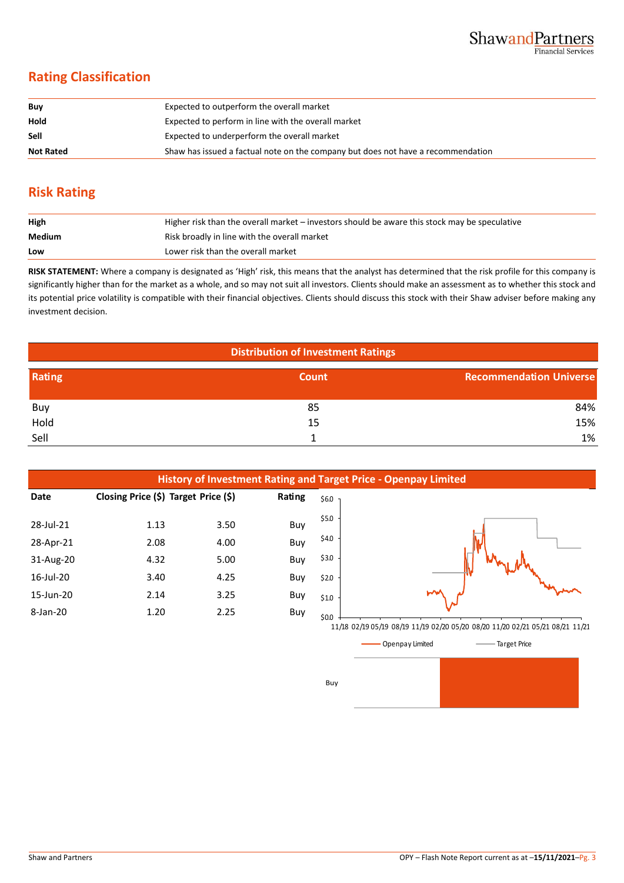## **Rating Classification**

| Buy              | Expected to outperform the overall market                                        |
|------------------|----------------------------------------------------------------------------------|
| Hold             | Expected to perform in line with the overall market                              |
| Sell             | Expected to underperform the overall market                                      |
| <b>Not Rated</b> | Shaw has issued a factual note on the company but does not have a recommendation |

## **Risk Rating**

| High   | Higher risk than the overall market – investors should be aware this stock may be speculative |
|--------|-----------------------------------------------------------------------------------------------|
| Medium | Risk broadly in line with the overall market                                                  |
| Low    | Lower risk than the overall market                                                            |

**RISK STATEMENT:** Where a company is designated as 'High' risk, this means that the analyst has determined that the risk profile for this company is significantly higher than for the market as a whole, and so may not suit all investors. Clients should make an assessment as to whether this stock and its potential price volatility is compatible with their financial objectives. Clients should discuss this stock with their Shaw adviser before making any investment decision.

| <b>Distribution of Investment Ratings</b> |       |                                |  |  |  |
|-------------------------------------------|-------|--------------------------------|--|--|--|
| Rating                                    | Count | <b>Recommendation Universe</b> |  |  |  |
| Buy                                       | 85    | 84%                            |  |  |  |
| Hold                                      | 15    | 15%                            |  |  |  |
| Sell                                      |       | 1%                             |  |  |  |





Buy